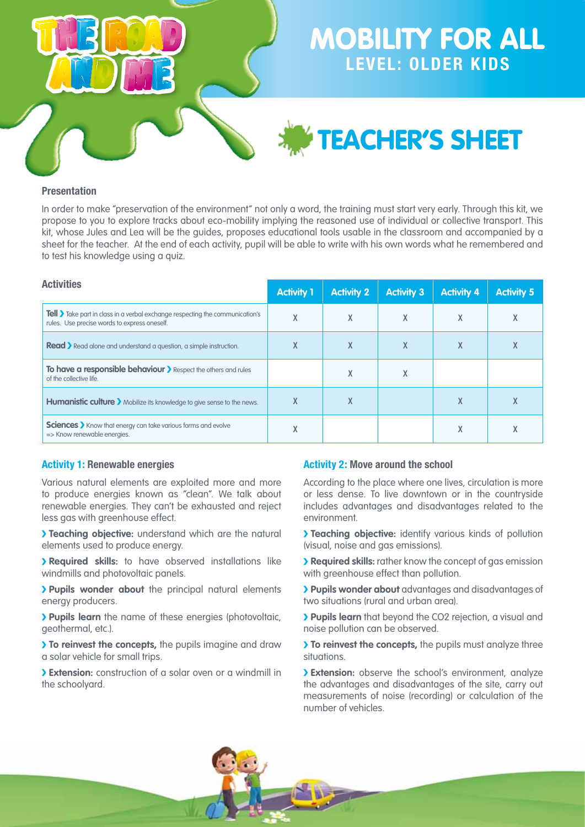

teacher's sheet

### **Presentation**

In order to make "preservation of the environment" not only a word, the training must start very early. Through this kit, we propose to you to explore tracks about eco-mobility implying the reasoned use of individual or collective transport. This kit, whose Jules and Lea will be the guides, proposes educational tools usable in the classroom and accompanied by a sheet for the teacher. At the end of each activity, pupil will be able to write with his own words what he remembered and to test his knowledge using a quiz.

| <b>Activities</b>                                                                                                                       | <b>Activity 1</b> | <b>Activity 2</b> | <b>Activity 3</b> | <b>Activity 4</b> | <b>Activity 5</b> |
|-----------------------------------------------------------------------------------------------------------------------------------------|-------------------|-------------------|-------------------|-------------------|-------------------|
| <b>Tell &gt;</b> Take part in class in a verbal exchange respecting the communication's<br>rules. Use precise words to express oneself. | χ                 | χ                 | χ                 | X                 | X                 |
| <b>Read</b> Read alone and understand a question, a simple instruction.                                                                 |                   | л.                | χ                 | χ                 | X                 |
| To have a responsible behaviour > Respect the others and rules<br>of the collective life.                                               |                   | x                 | χ                 |                   |                   |
| Humanistic culture > Mobilize its knowledge to give sense to the news.                                                                  | X                 | x                 |                   | X                 | X                 |
| <b>Sciences</b> > Know that energy can take various forms and evolve<br>=> Know renewable energies.                                     |                   |                   |                   | χ                 |                   |

#### **Activity 1: Renewable energies**

Various natural elements are exploited more and more to produce energies known as "clean". We talk about renewable energies. They can't be exhausted and reject less gas with greenhouse effect.

**Teaching objective:** understand which are the natural elements used to produce energy.

**Required skills:** to have observed installations like windmills and photovoltaic panels.

**Pupils wonder about** the principal natural elements energy producers.

**Pupils learn** the name of these energies (photovoltaic, geothermal, etc.).

**To reinvest the concepts,** the pupils imagine and draw a solar vehicle for small trips.

**Extension:** construction of a solar oven or a windmill in the schoolyard.

#### **Activity 2: Move around the school**

According to the place where one lives, circulation is more or less dense. To live downtown or in the countryside includes advantages and disadvantages related to the environment.

**Teaching objective:** identify various kinds of pollution (visual, noise and gas emissions).

**Required skills:** rather know the concept of gas emission with greenhouse effect than pollution.

**Pupils wonder about** advantages and disadvantages of two situations (rural and urban area).

**Pupils learn** that beyond the CO2 rejection, a visual and noise pollution can be observed.

**To reinvest the concepts,** the pupils must analyze three situations.

**Extension:** observe the school's environment, analyze the advantages and disadvantages of the site, carry out measurements of noise (recording) or calculation of the number of vehicles.